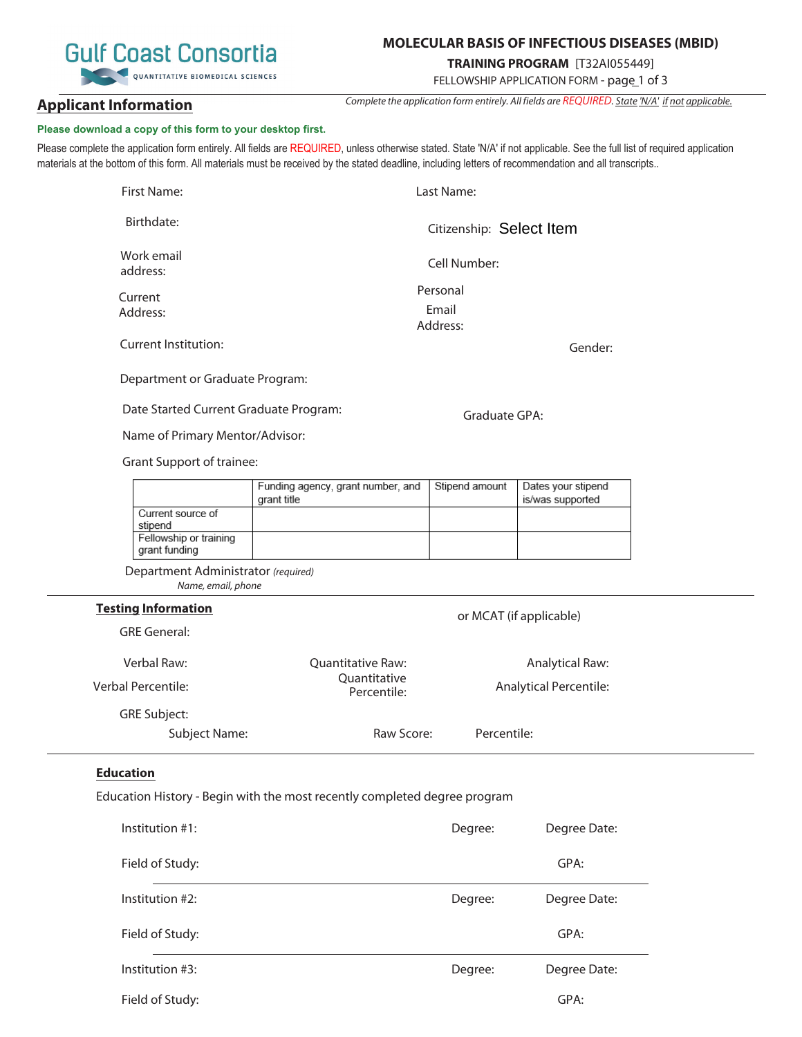# **MOLECULAR BASIS OF INFECTIOUS DISEASES (MBID)**

# **TRAINING PROGRAM** [T32AI055449]

FELLOWSHIP APPLICATION FORM - page 1 of 3

Complete the application form entirely. All fields are REQUIRED. State 'N/A' if not applicable.

**Applicant Information**

# **Please download a copy of this form to your desktop first.**

Please complete the application form entirely. All fields are REQUIRED, unless otherwise stated. State 'N/A' if not applicable. See the full list of required application materials at the bottom of this form. All materials must be received by the stated deadline, including letters of recommendation and all transcripts..

| First Name:                 | Last Name:               |  |
|-----------------------------|--------------------------|--|
| Birthdate:                  | Citizenship: Select Item |  |
| Work email<br>address:      | Cell Number:             |  |
| Current                     | Personal                 |  |
| Address:                    | Email                    |  |
|                             | Address:                 |  |
| <b>Current Institution:</b> | Gen                      |  |

Department or Graduate Program:

Date Started Current Graduate Program:

Name of Primary Mentor/Advisor:

Grant Support of trainee:

|                                         | Funding agency, grant number, and Stipend amount<br>grant title | Dates your stipend<br>is/was supported |
|-----------------------------------------|-----------------------------------------------------------------|----------------------------------------|
| Current source of<br>stipend            |                                                                 |                                        |
| Fellowship or training<br>grant funding |                                                                 |                                        |

Department Administrator (required) Name, email, phone

### **Testing Information**

| Verbal Raw:         | <b>Quantitative Raw:</b>    | Analytical Raw:        |
|---------------------|-----------------------------|------------------------|
| Verbal Percentile:  | Quantitative<br>Percentile: | Analytical Percentile: |
| <b>GRE Subject:</b> |                             |                        |
| Subject Name:       | Raw Score:                  | Percentile:            |

## **Education**

Education History - Begin with the most recently completed degree program

| Institution $#1$ : | Degree: | Degree Date: |
|--------------------|---------|--------------|
| Field of Study:    |         | GPA:         |
| Institution #2:    | Degree: | Degree Date: |
| Field of Study:    |         | GPA:         |
| Institution #3:    | Degree: | Degree Date: |
| Field of Study:    |         | GPA:         |



der:

Graduate GPA:

or MCAT (if applicable)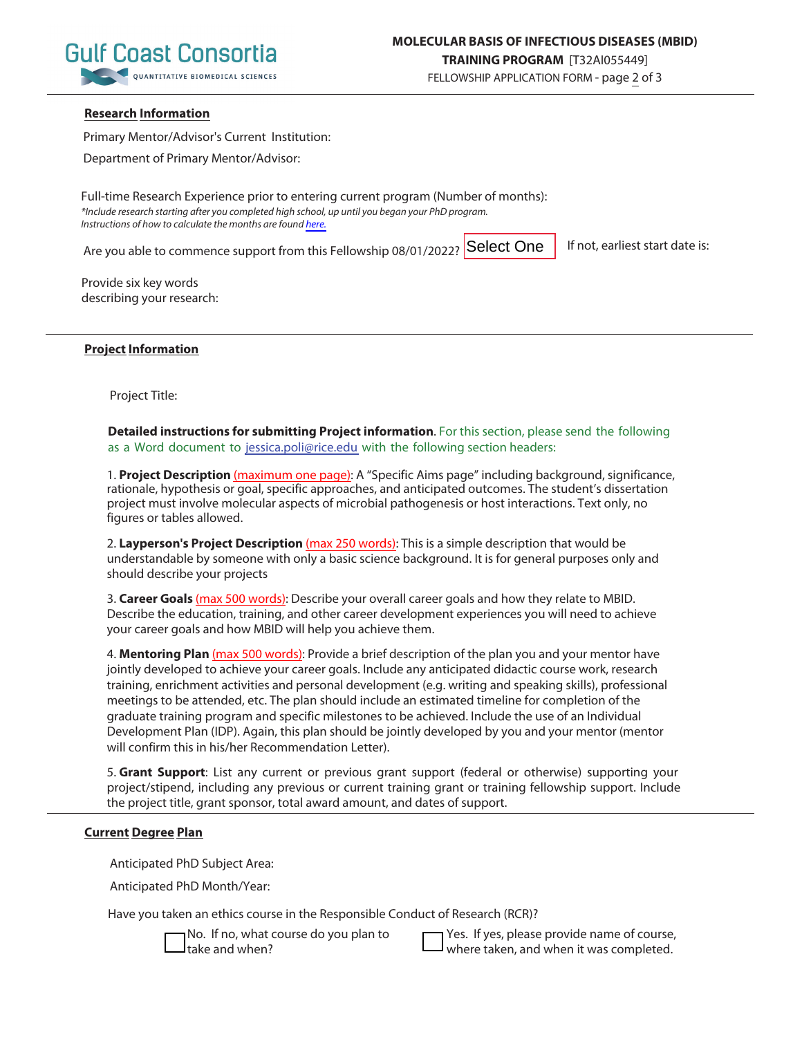

## **Research Information**

Primary Mentor/Advisor's Current Institution:

Department of Primary Mentor/Advisor:

Full-time Research Experience prior to entering current program (Number of months): \*Include research starting after you completed high school, up until you began your PhD program. Instructions of how to calculate the months are found [here.](https://www.gulfcoastconsortia.org/home/training/molecular-basis-of-infectious-diseases-mbid/#1556808353571-e0954b29-8f5a)

Are you able to commence support from this Fellowship 08/01/2022? **Select One** 

If not, earliest start date is:

Provide six key words describing your research:

### **Project Information**

Project Title:

**Detailed instructions for submitting Project information**. For this section, please send the following as a Word document to jessica.poli@rice.edu with the following section headers:

1. **Project Description** (maximum one page): A "Specific Aims page" including background, significance, rationale, hypothesis or goal, specific approaches, and anticipated outcomes. The student's dissertation project must involve molecular aspects of microbial pathogenesis or host interactions. Text only, no figures or tables allowed.

2. **Layperson's Project Description** (max 250 words): This is a simple description that would be understandable by someone with only a basic science background. It is for general purposes only and should describe your projects

3. **Career Goals** (max 500 words): Describe your overall career goals and how they relate to MBID. Describe the education, training, and other career development experiences you will need to achieve your career goals and how MBID will help you achieve them.

4. **Mentoring Plan** (max 500 words): Provide a brief description of the plan you and your mentor have jointly developed to achieve your career goals. Include any anticipated didactic course work, research training, enrichment activities and personal development (e.g. writing and speaking skills), professional meetings to be attended, etc. The plan should include an estimated timeline for completion of the graduate training program and specific milestones to be achieved. Include the use of an Individual Development Plan (IDP). Again, this plan should be jointly developed by you and your mentor (mentor will confirm this in his/her Recommendation Letter).

5. **Grant Support**: List any current or previous grant support (federal or otherwise) supporting your project/stipend, including any previous or current training grant or training fellowship support. Include the project title, grant sponsor, total award amount, and dates of support.

#### **Current Degree Plan**

Anticipated PhD Subject Area:

Anticipated PhD Month/Year:

Have you taken an ethics course in the Responsible Conduct of Research (RCR)?

No. If no, what course do you plan to take and when?

Yes. If yes, please provide name of course, where taken, and when it was completed.